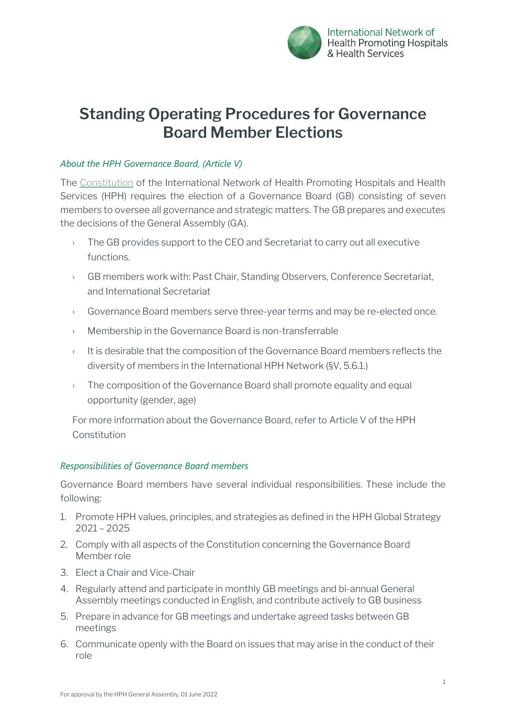

# **Standing Operating Procedures for Governance Board Member Elections**

## *About the HPH Governance Board, (Article V)*

The [Constitution](https://www.hphnet.org/wp-content/uploads/2022/01/HPH-Constitution-19-Nov.-2021-.pdf) of the International Network of Health Promoting Hospitals and Health Services (HPH) requires the election of a Governance Board (GB) consisting of seven members to oversee all governance and strategic matters. The GB prepares and executes the decisions of the General Assembly (GA).

- $\rightarrow$  The GB provides support to the CEO and Secretariat to carry out all executive functions.
- › GB members work with: Past Chair, Standing Observers, Conference Secretariat, and International Secretariat
- › Governance Board members serve three-year terms and may be re-elected once.
- › Membership in the Governance Board is non-transferrable
- $\rightarrow$  It is desirable that the composition of the Governance Board members reflects the diversity of members in the International HPH Network (§V, 5.6.1.)
- $\rightarrow$  The composition of the Governance Board shall promote equality and equal opportunity (gender, age)

For more information about the Governance Board, refer to Article V of the HPH Constitution

## *Responsibilities of Governance Board members*

Governance Board members have several individual responsibilities. These include the following:

- 1. Promote HPH values, principles, and strategies as defined in the HPH Global Strategy 2021 – 2025
- 2. Comply with all aspects of the Constitution concerning the Governance Board Member role
- 3. Elect a Chair and Vice-Chair
- 4. Regularly attend and participate in monthly GB meetings and bi-annual General Assembly meetings conducted in English, and contribute actively to GB business
- 5. Prepare in advance for GB meetings and undertake agreed tasks between GB meetings
- 6. Communicate openly with the Board on issues that may arise in the conduct of their role